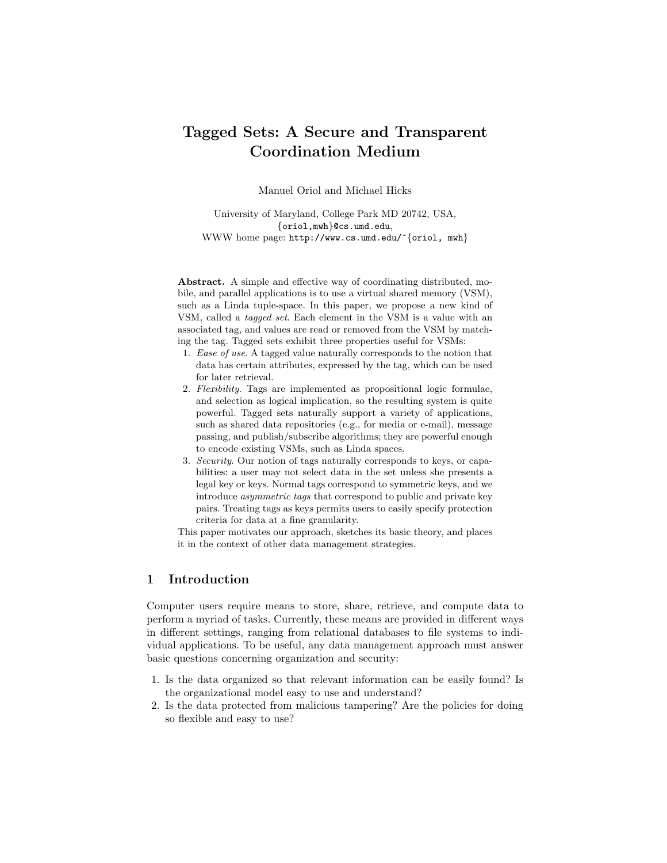# Tagged Sets: A Secure and Transparent Coordination Medium

Manuel Oriol and Michael Hicks

University of Maryland, College Park MD 20742, USA, {oriol,mwh}@cs.umd.edu, WWW home page: http://www.cs.umd.edu/~{oriol, mwh}

Abstract. A simple and effective way of coordinating distributed, mobile, and parallel applications is to use a virtual shared memory (VSM), such as a Linda tuple-space. In this paper, we propose a new kind of VSM, called a tagged set. Each element in the VSM is a value with an associated tag, and values are read or removed from the VSM by matching the tag. Tagged sets exhibit three properties useful for VSMs:

- 1. Ease of use. A tagged value naturally corresponds to the notion that data has certain attributes, expressed by the tag, which can be used for later retrieval.
- 2. Flexibility. Tags are implemented as propositional logic formulae, and selection as logical implication, so the resulting system is quite powerful. Tagged sets naturally support a variety of applications, such as shared data repositories (e.g., for media or e-mail), message passing, and publish/subscribe algorithms; they are powerful enough to encode existing VSMs, such as Linda spaces.
- 3. Security. Our notion of tags naturally corresponds to keys, or capabilities: a user may not select data in the set unless she presents a legal key or keys. Normal tags correspond to symmetric keys, and we introduce asymmetric tags that correspond to public and private key pairs. Treating tags as keys permits users to easily specify protection criteria for data at a fine granularity.

This paper motivates our approach, sketches its basic theory, and places it in the context of other data management strategies.

## 1 Introduction

Computer users require means to store, share, retrieve, and compute data to perform a myriad of tasks. Currently, these means are provided in different ways in different settings, ranging from relational databases to file systems to individual applications. To be useful, any data management approach must answer basic questions concerning organization and security:

- 1. Is the data organized so that relevant information can be easily found? Is the organizational model easy to use and understand?
- 2. Is the data protected from malicious tampering? Are the policies for doing so flexible and easy to use?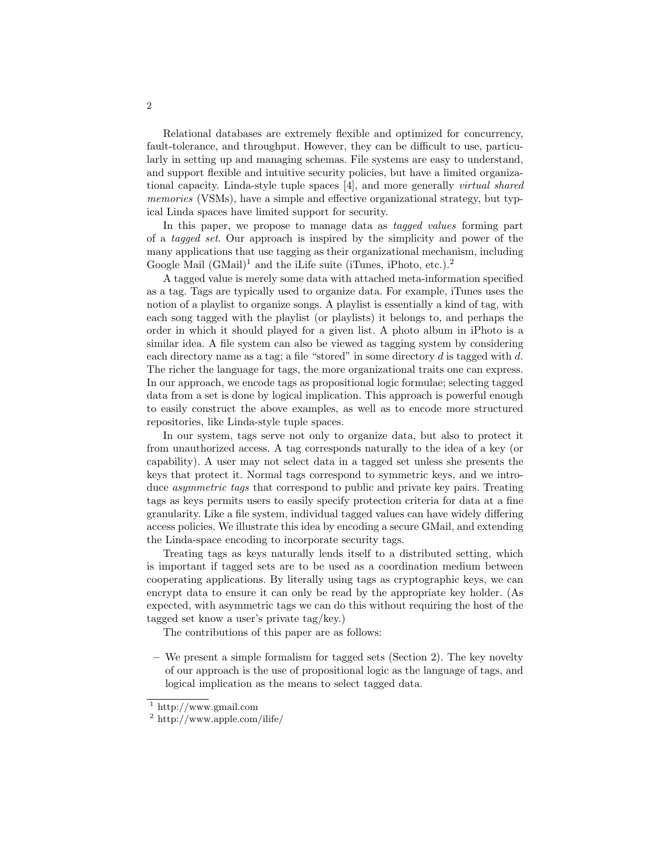Relational databases are extremely flexible and optimized for concurrency, fault-tolerance, and throughput. However, they can be difficult to use, particularly in setting up and managing schemas. File systems are easy to understand, and support flexible and intuitive security policies, but have a limited organizational capacity. Linda-style tuple spaces [4], and more generally virtual shared memories (VSMs), have a simple and effective organizational strategy, but typical Linda spaces have limited support for security.

In this paper, we propose to manage data as *tagged values* forming part of a tagged set. Our approach is inspired by the simplicity and power of the many applications that use tagging as their organizational mechanism, including Google Mail  $(GMail)^1$  and the iLife suite (iTunes, iPhoto, etc.).<sup>2</sup>

A tagged value is merely some data with attached meta-information specified as a tag. Tags are typically used to organize data. For example, iTunes uses the notion of a playlist to organize songs. A playlist is essentially a kind of tag, with each song tagged with the playlist (or playlists) it belongs to, and perhaps the order in which it should played for a given list. A photo album in iPhoto is a similar idea. A file system can also be viewed as tagging system by considering each directory name as a tag; a file "stored" in some directory  $d$  is tagged with  $d$ . The richer the language for tags, the more organizational traits one can express. In our approach, we encode tags as propositional logic formulae; selecting tagged data from a set is done by logical implication. This approach is powerful enough to easily construct the above examples, as well as to encode more structured repositories, like Linda-style tuple spaces.

In our system, tags serve not only to organize data, but also to protect it from unauthorized access. A tag corresponds naturally to the idea of a key (or capability). A user may not select data in a tagged set unless she presents the keys that protect it. Normal tags correspond to symmetric keys, and we introduce asymmetric tags that correspond to public and private key pairs. Treating tags as keys permits users to easily specify protection criteria for data at a fine granularity. Like a file system, individual tagged values can have widely differing access policies. We illustrate this idea by encoding a secure GMail, and extending the Linda-space encoding to incorporate security tags.

Treating tags as keys naturally lends itself to a distributed setting, which is important if tagged sets are to be used as a coordination medium between cooperating applications. By literally using tags as cryptographic keys, we can encrypt data to ensure it can only be read by the appropriate key holder. (As expected, with asymmetric tags we can do this without requiring the host of the tagged set know a user's private tag/key.)

The contributions of this paper are as follows:

– We present a simple formalism for tagged sets (Section 2). The key novelty of our approach is the use of propositional logic as the language of tags, and logical implication as the means to select tagged data.

<sup>1</sup> http://www.gmail.com

<sup>2</sup> http://www.apple.com/ilife/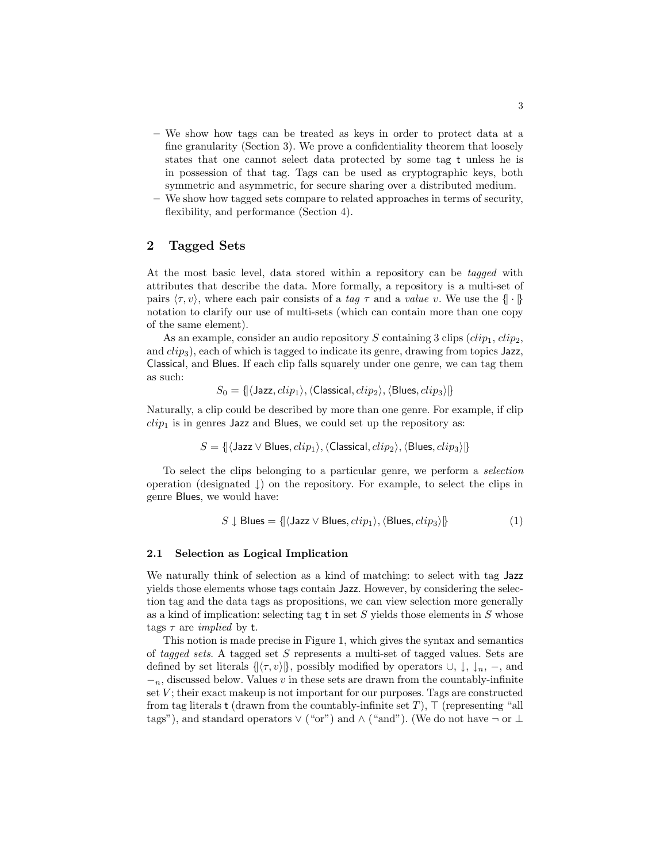- We show how tags can be treated as keys in order to protect data at a fine granularity (Section 3). We prove a confidentiality theorem that loosely states that one cannot select data protected by some tag t unless he is in possession of that tag. Tags can be used as cryptographic keys, both symmetric and asymmetric, for secure sharing over a distributed medium.
- We show how tagged sets compare to related approaches in terms of security, flexibility, and performance (Section 4).

# 2 Tagged Sets

At the most basic level, data stored within a repository can be tagged with attributes that describe the data. More formally, a repository is a multi-set of pairs  $\langle \tau, v \rangle$ , where each pair consists of a tag  $\tau$  and a value v. We use the  $\{\cdot\}$ notation to clarify our use of multi-sets (which can contain more than one copy of the same element).

As an example, consider an audio repository S containing 3 clips  $(clip<sub>1</sub>, clip<sub>2</sub>$ , and  $clip<sub>3</sub>$ , each of which is tagged to indicate its genre, drawing from topics Jazz, Classical, and Blues. If each clip falls squarely under one genre, we can tag them as such:

$$
S_0 = \{ \langle \text{Jazz}, clip_1 \rangle, \langle \text{Classical}, clip_2 \rangle, \langle \text{Blues}, clip_3 \rangle \}
$$

Naturally, a clip could be described by more than one genre. For example, if clip  $clip_1$  is in genres Jazz and Blues, we could set up the repository as:

$$
S = \{ \langle \text{Jazz} \lor \text{Blues}, clip_1 \rangle, \langle \text{Classical}, clip_2 \rangle, \langle \text{Blues}, clip_3 \rangle \}
$$

To select the clips belonging to a particular genre, we perform a selection operation (designated ↓) on the repository. For example, to select the clips in genre Blues, we would have:

$$
S \downarrow \text{Blues} = \{ (\text{Jazz} \vee \text{Blues}, \text{clip}_1), (\text{Blues}, \text{clip}_3) \} \tag{1}
$$

#### 2.1 Selection as Logical Implication

We naturally think of selection as a kind of matching: to select with tag Jazz yields those elements whose tags contain Jazz. However, by considering the selection tag and the data tags as propositions, we can view selection more generally as a kind of implication: selecting tag  $t$  in set S yields those elements in S whose tags  $\tau$  are *implied* by t.

This notion is made precise in Figure 1, which gives the syntax and semantics of tagged sets. A tagged set S represents a multi-set of tagged values. Sets are defined by set literals  $\{\langle \tau, v \rangle\}$ , possibly modified by operators  $\cup$ ,  $\downarrow$ ,  $\downarrow$ <sub>n</sub>, –, and  $-<sub>n</sub>$ , discussed below. Values v in these sets are drawn from the countably-infinite set  $V$ ; their exact makeup is not important for our purposes. Tags are constructed from tag literals t (drawn from the countably-infinite set  $T$ ),  $\top$  (representing "all tags"), and standard operators  $\vee$  ("or") and  $\wedge$  ("and"). (We do not have  $\neg$  or  $\perp$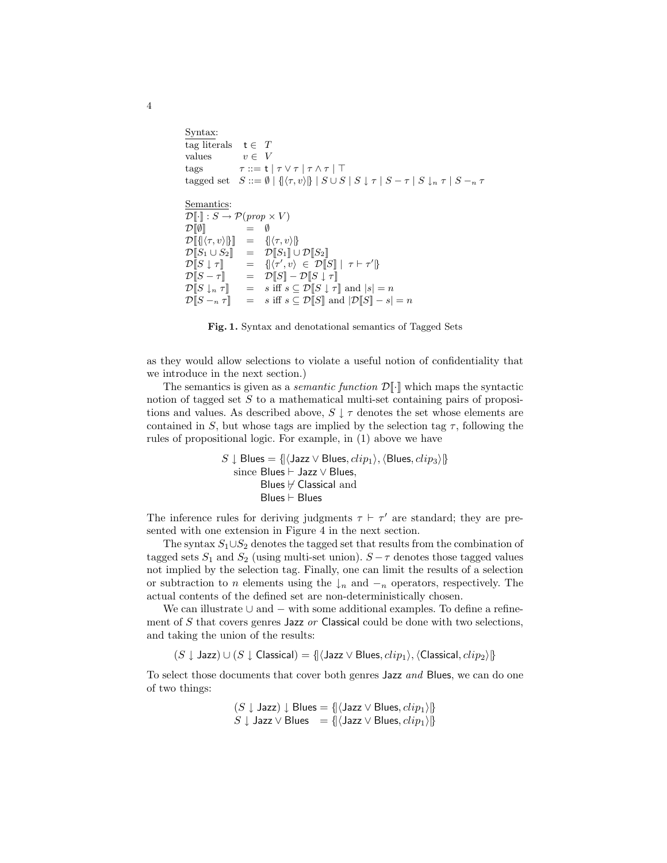```
Syntax:
tag literals t \in Tvalues v \in Vtags \tau ::= t | \tau \vee \tau | \tau \wedge \tau | \toptagged set S ::= \emptyset \mid \{(\tau, v) \} \mid S \cup S \mid S \downarrow \tau \mid S - \tau \mid S \downarrow_n \tau \mid S - \tauSemantics:
\mathcal{D}\llbracket \cdot \rrbracket : S \to \mathcal{P}(\text{prop} \times V)\mathcal{D}[\![\emptyset]\!] = \emptyset\mathcal{D}[\{\langle \tau, v \rangle\}]] = \{\langle \tau, v \rangle\}\mathcal{D}[S_1 \cup S_2] = \mathcal{D}[S_1] \cup \mathcal{D}[S_2]\mathcal{D}\llbracket S \downarrow \tau \rrbracket\langle v, v \rangle \in \mathcal{D}[S] | \tau \vdash \tau']\mathcal{D}[S - \tau] = \mathcal{D}[S] - \mathcal{D}[S \downarrow \tau]\mathcal{D}[S \downarrow_n \tau] = s iff s \subseteq \mathcal{D}[S \downarrow \tau] and |s| = n\mathcal{D}[[S - n\tau]] = s iff s \subseteq \mathcal{D}[[S]] and |\mathcal{D}[S] - s| = n
```
Fig. 1. Syntax and denotational semantics of Tagged Sets

as they would allow selections to violate a useful notion of confidentiality that we introduce in the next section.)

The semantics is given as a *semantic function*  $\mathcal{D}[\cdot]$  which maps the syntactic notion of tagged set  $S$  to a mathematical multi-set containing pairs of propositions and values. As described above,  $S \downarrow \tau$  denotes the set whose elements are contained in S, but whose tags are implied by the selection tag  $\tau$ , following the rules of propositional logic. For example, in (1) above we have

$$
S \downarrow \text{Blues} = \{ \langle \text{Jazz} \lor \text{Blues}, clip_1 \rangle, \langle \text{Blues}, clip_3 \rangle \}
$$
  
since Blues  $\vdash$  Jazz  $\lor$  Blues,  
Blues  $\not\models$  Classical and  
Blues  $\vdash$  Blues

The inference rules for deriving judgments  $\tau \vdash \tau'$  are standard; they are presented with one extension in Figure 4 in the next section.

The syntax  $S_1 \cup S_2$  denotes the tagged set that results from the combination of tagged sets  $S_1$  and  $S_2$  (using multi-set union).  $S - \tau$  denotes those tagged values not implied by the selection tag. Finally, one can limit the results of a selection or subtraction to n elements using the  $\downarrow_n$  and  $\vdash_n$  operators, respectively. The actual contents of the defined set are non-deterministically chosen.

We can illustrate  $\cup$  and  $-$  with some additional examples. To define a refinement of  $S$  that covers genres Jazz  $or$  Classical could be done with two selections, and taking the union of the results:

 $(S \downarrow$  Jazz) ∪  $(S \downarrow$  Classical) = {| $\langle$ Jazz ∨ Blues,  $clip_1\rangle$ ,  $\langle$ Classical,  $clip_2\rangle$  |}

To select those documents that cover both genres Jazz and Blues, we can do one of two things:

$$
(S \downarrow \text{Jazz}) \downarrow \text{Blues} = \{ (\text{Jazz} \vee \text{Blues}, \text{clip}_1) \}
$$
  

$$
S \downarrow \text{Jazz} \vee \text{Blues} = \{ (\text{Jazz} \vee \text{Blues}, \text{clip}_1) \}
$$

4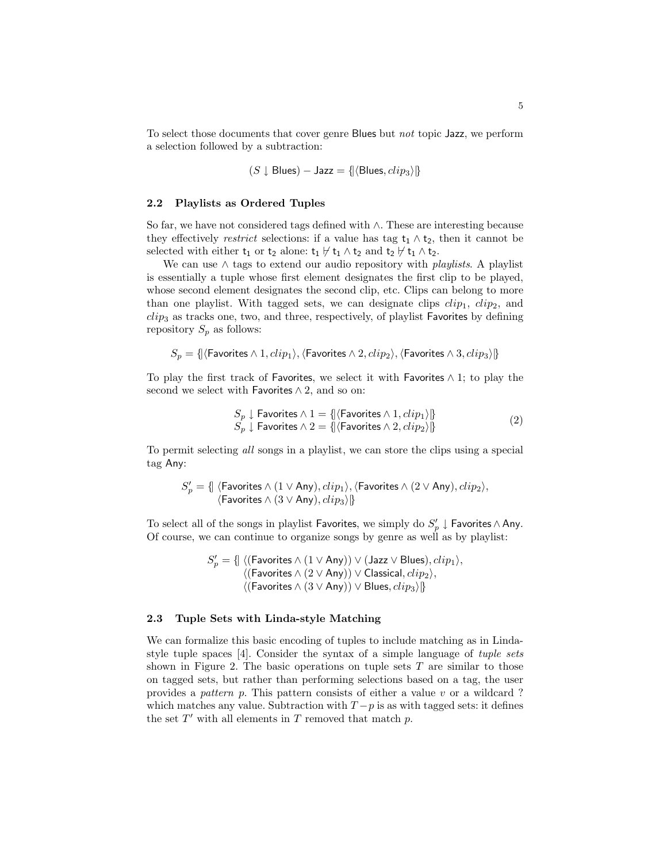To select those documents that cover genre Blues but not topic Jazz, we perform a selection followed by a subtraction:

$$
(S \downarrow \text{Blues}) - \text{Jazz} = \{ |\langle \text{Blues}, clip_3 \rangle | \}
$$

#### 2.2 Playlists as Ordered Tuples

So far, we have not considered tags defined with ∧. These are interesting because they effectively *restrict* selections: if a value has tag  $t_1 \wedge t_2$ , then it cannot be selected with either  $t_1$  or  $t_2$  alone:  $t_1 \nvdash t_1 \wedge t_2$  and  $t_2 \nvdash t_1 \wedge t_2$ .

We can use  $\wedge$  tags to extend our audio repository with *playlists*. A playlist is essentially a tuple whose first element designates the first clip to be played, whose second element designates the second clip, etc. Clips can belong to more than one playlist. With tagged sets, we can designate clips  $clip_1$ ,  $clip_2$ , and  $clip_3$  as tracks one, two, and three, respectively, of playlist Favorites by defining repository  $S_p$  as follows:

 $S_p = \{|\langle \mathsf{Favorites} \land 1, clip_1 \rangle, \langle \mathsf{Favorites} \land 2, clip_2 \rangle, \langle \mathsf{Favorites} \land 3, clip_3 \rangle|\}$ 

To play the first track of Favorites, we select it with Favorites  $\wedge$  1; to play the second we select with Favorites  $\land$  2, and so on:

$$
S_p \downarrow \text{ Favorites} \land 1 = \{ |\langle \text{Favorites} \land 1, clip_1 \rangle | \} S_p \downarrow \text{ Favorites} \land 2 = \{ |\langle \text{Favorites} \land 2, clip_2 \rangle | \} \tag{2}
$$

To permit selecting all songs in a playlist, we can store the clips using a special tag Any:

$$
S'_p = \{\!\!\{ \text{ (Favorites } \land (1 \lor \text{Any}), clip_1), \text{\langle Favorites } \land (2 \lor \text{Any}), clip_2), \text{\langle Favorites } \land (3 \lor \text{Any}), clip_3 \rangle \!\!\}
$$

To select all of the songs in playlist Favorites, we simply do  $S'_p \downarrow$  Favorites ∧ Any. Of course, we can continue to organize songs by genre as well as by playlist:

$$
S'_p = \{ \mid \langle (\text{Favorites} \land (1 \lor \text{Any})) \lor (\text{Jazz} \lor \text{Blues}), clip_1 \rangle, \\ \langle (\text{Favorites} \land (2 \lor \text{Any})) \lor \text{Classical}, clip_2 \rangle, \\ \langle (\text{Favorites} \land (3 \lor \text{Any})) \lor \text{Blues}, clip_3 \rangle \}
$$

#### 2.3 Tuple Sets with Linda-style Matching

We can formalize this basic encoding of tuples to include matching as in Lindastyle tuple spaces [4]. Consider the syntax of a simple language of tuple sets shown in Figure 2. The basic operations on tuple sets  $T$  are similar to those on tagged sets, but rather than performing selections based on a tag, the user provides a pattern p. This pattern consists of either a value v or a wildcard ? which matches any value. Subtraction with  $T-p$  is as with tagged sets: it defines the set  $T'$  with all elements in  $T$  removed that match  $p$ .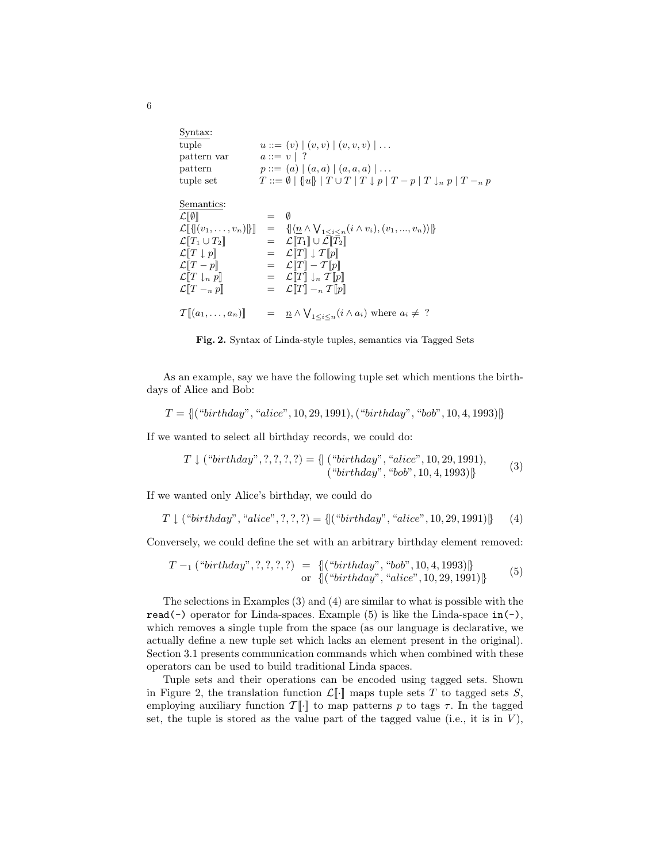| Syntax:                              |               |                                                                                                                                            |
|--------------------------------------|---------------|--------------------------------------------------------------------------------------------------------------------------------------------|
| tuple                                |               | $u ::= (v)   (v, v)   (v, v, v)   \dots$                                                                                                   |
| pattern var                          | $a ::= v   ?$ |                                                                                                                                            |
| pattern                              |               | $p ::= (a)   (a, a)   (a, a, a)   \dots$                                                                                                   |
| tuple set                            |               | $T ::= \emptyset \mid \{  u  \mid T \cup T \mid T \downarrow p \mid T-p \mid T \downarrow_n p \mid T-n \mid p \in T \}$                    |
| Semantics:                           |               |                                                                                                                                            |
| $\mathcal{L}[\![\emptyset]\!]$       | $= 0$         |                                                                                                                                            |
|                                      |               | $\mathcal{L}[\{(v_1,\ldots,v_n)\}] = \{\langle \underline{n} \wedge \bigvee_{1 \leq i \leq n} (i \wedge v_i), (v_1,\ldots,v_n) \rangle \}$ |
| $\mathcal{L}[[T_1\cup T_2]]$         |               | $= \mathcal{L}[T_1] \cup \mathcal{L}[T_2]$                                                                                                 |
| $\mathcal{L}[[T \downarrow p]]$      |               | $= \mathcal{L}[T] \downarrow \mathcal{T}[p]$                                                                                               |
| $\mathcal{L}[[T-p]]$                 |               | $= \mathcal{L}[[T] - \mathcal{T}[[p]]$                                                                                                     |
| $\mathcal{L}[[T \, \downarrow_n p]]$ |               | $= \mathcal{L}[[T]] \downarrow_n \mathcal{T}[[p]]$                                                                                         |
| $\mathcal{L}[[T - n]$                |               | $= \mathcal{L}[[T]] -_n T  p  $                                                                                                            |
| $\mathcal{T}[(a_1,\ldots,a_n)]$      |               | $= \underline{n} \wedge \bigvee_{1 \leq i \leq n} (i \wedge a_i)$ where $a_i \neq ?$                                                       |
|                                      |               |                                                                                                                                            |



As an example, say we have the following tuple set which mentions the birthdays of Alice and Bob:

$$
T = \{ (``birthday'', ``alice'', 10, 29, 1991), ("birthday'', "bob", 10, 4, 1993) \}
$$

If we wanted to select all birthday records, we could do:

$$
T \downarrow ("birthday", ?, ?, ?, ?, ?) = \{ (``birthday", ``alice", 10, 29, 1991),\newline ("birthday", "bob", 10, 4, 1993)] \}
$$
 (3)

If we wanted only Alice's birthday, we could do

$$
T \downarrow
$$
 ("birthday", "alice", ?, ?, ?) =  $\{[("birthday", "alice", 10, 29, 1991)]\}$  (4)

Conversely, we could define the set with an arbitrary birthday element removed:

$$
T -_1 \left( \text{``birthday''}, ?, ?, ?, ?, ? \right) = \{ \left( \text{``birthday''}, \text{``bob''}, 10, 4, 1993 \right) \} \text{or } \{ \left( \text{``birthday''}, \text{``alice''}, 10, 29, 1991 \right) \} \tag{5}
$$

The selections in Examples (3) and (4) are similar to what is possible with the read(-) operator for Linda-spaces. Example  $(5)$  is like the Linda-space in(-), which removes a single tuple from the space (as our language is declarative, we actually define a new tuple set which lacks an element present in the original). Section 3.1 presents communication commands which when combined with these operators can be used to build traditional Linda spaces.

Tuple sets and their operations can be encoded using tagged sets. Shown in Figure 2, the translation function  $\mathcal{L}[\cdot]$  maps tuple sets T to tagged sets S, employing auxiliary function  $\mathcal{T}[\cdot]$  to map patterns p to tags  $\tau$ . In the tagged set, the tuple is stored as the value part of the tagged value (i.e., it is in  $V$ ),

6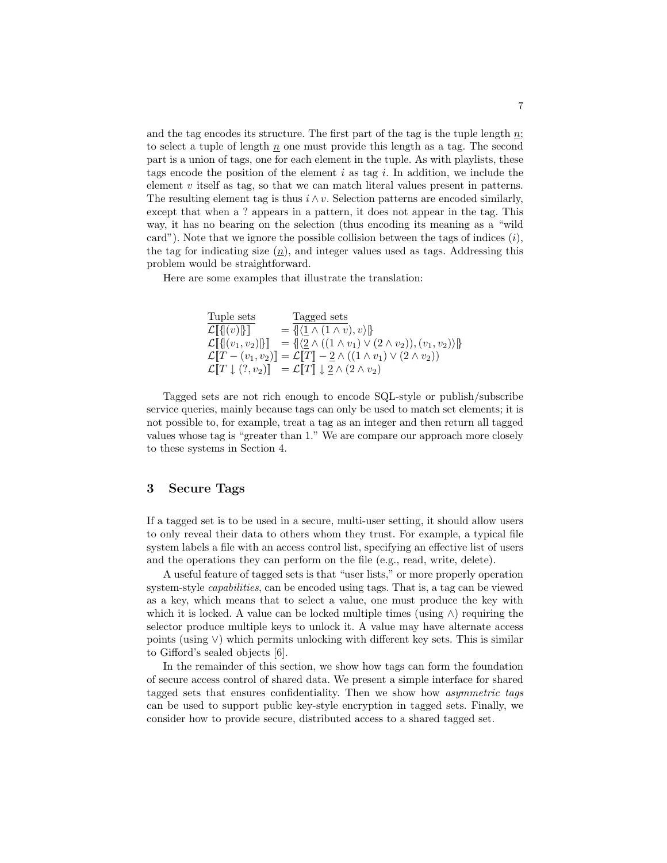and the tag encodes its structure. The first part of the tag is the tuple length  $n$ ; to select a tuple of length  $n$  one must provide this length as a tag. The second part is a union of tags, one for each element in the tuple. As with playlists, these tags encode the position of the element i as tag i. In addition, we include the element  $v$  itself as tag, so that we can match literal values present in patterns. The resulting element tag is thus  $i \wedge v$ . Selection patterns are encoded similarly, except that when a ? appears in a pattern, it does not appear in the tag. This way, it has no bearing on the selection (thus encoding its meaning as a "wild card"). Note that we ignore the possible collision between the tags of indices  $(i)$ , the tag for indicating size  $(n)$ , and integer values used as tags. Addressing this problem would be straightforward.

Here are some examples that illustrate the translation:

$$
\begin{array}{lll}\n\text{Tuple sets} & \frac{\text{Tagged sets}}{\mathcal{L}[\{|(v)|\}]}\n& = \frac{\sqrt{2} \cdot \mathcal{L}[\{v \mid (v) \mid \}]}{\mathcal{L}[\{|(v_1, v_2)|\}]}\n& = \frac{\sqrt{2} \cdot \mathcal{L}[\{v_1, (v_2) \mid \}]}{\mathcal{L}[\mathcal{L}[\{v_1, v_2\}]}\n& = \frac{\sqrt{2} \wedge ((1 \wedge v_1) \vee (2 \wedge v_2)), (v_1, v_2))}{\mathcal{L}[\{T \} - (v_1, v_2)]}\n& = \mathcal{L}[\{T\}] - \frac{2}{2} \wedge ((1 \wedge v_1) \vee (2 \wedge v_2))\n\end{array}
$$

Tagged sets are not rich enough to encode SQL-style or publish/subscribe service queries, mainly because tags can only be used to match set elements; it is not possible to, for example, treat a tag as an integer and then return all tagged values whose tag is "greater than 1." We are compare our approach more closely to these systems in Section 4.

## 3 Secure Tags

If a tagged set is to be used in a secure, multi-user setting, it should allow users to only reveal their data to others whom they trust. For example, a typical file system labels a file with an access control list, specifying an effective list of users and the operations they can perform on the file (e.g., read, write, delete).

A useful feature of tagged sets is that "user lists," or more properly operation system-style capabilities, can be encoded using tags. That is, a tag can be viewed as a key, which means that to select a value, one must produce the key with which it is locked. A value can be locked multiple times (using  $\wedge$ ) requiring the selector produce multiple keys to unlock it. A value may have alternate access points (using ∨) which permits unlocking with different key sets. This is similar to Gifford's sealed objects [6].

In the remainder of this section, we show how tags can form the foundation of secure access control of shared data. We present a simple interface for shared tagged sets that ensures confidentiality. Then we show how asymmetric tags can be used to support public key-style encryption in tagged sets. Finally, we consider how to provide secure, distributed access to a shared tagged set.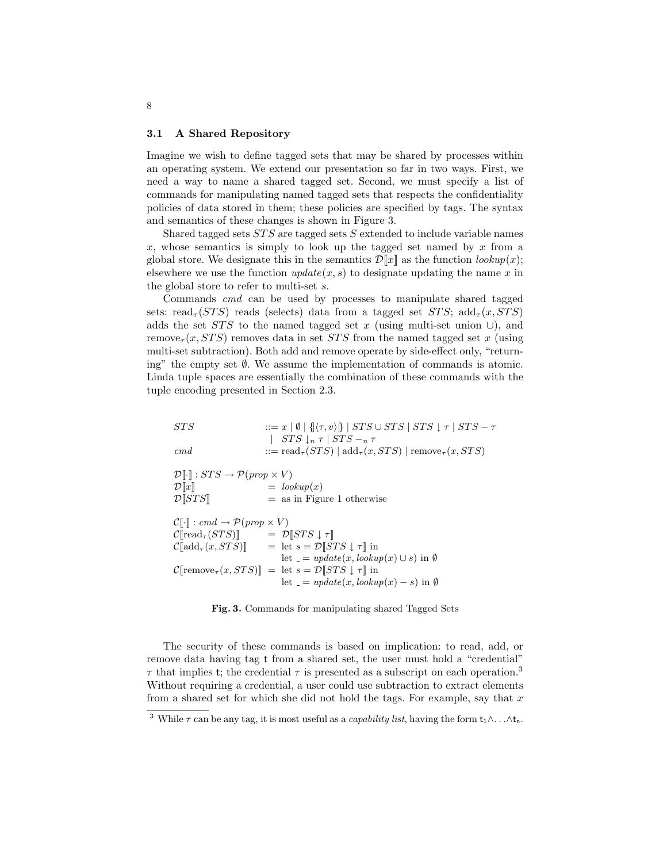#### 3.1 A Shared Repository

Imagine we wish to define tagged sets that may be shared by processes within an operating system. We extend our presentation so far in two ways. First, we need a way to name a shared tagged set. Second, we must specify a list of commands for manipulating named tagged sets that respects the confidentiality policies of data stored in them; these policies are specified by tags. The syntax and semantics of these changes is shown in Figure 3.

Shared tagged sets  $STS$  are tagged sets  $S$  extended to include variable names x, whose semantics is simply to look up the tagged set named by  $x$  from a global store. We designate this in the semantics  $\mathcal{D}[\![x]\!]$  as the function  $\text{lookup}(x)$ ; elsewhere we use the function  $update(x, s)$  to designate updating the name x in the global store to refer to multi-set s.

Commands cmd can be used by processes to manipulate shared tagged sets: read<sub> $\tau$ </sub>(STS) reads (selects) data from a tagged set STS; add $_{\tau}(x, STS)$ adds the set  $STS$  to the named tagged set x (using multi-set union  $\cup$ ), and remove<sub> $\tau$ </sub> $(x, STS)$  removes data in set STS from the named tagged set x (using multi-set subtraction). Both add and remove operate by side-effect only, "returning" the empty set ∅. We assume the implementation of commands is atomic. Linda tuple spaces are essentially the combination of these commands with the tuple encoding presented in Section 2.3.

| ::= read <sub><math>\tau</math></sub> ( <i>STS</i> )   add <sub><math>\tau</math></sub> ( <i>x</i> , <i>STS</i> )   remove <sub><math>\tau</math></sub> ( <i>x</i> , <i>STS</i> )<br>$\,cm\,$ d<br>$\mathcal{D}[\cdot] : STS \to \mathcal{P}(prop \times V)$<br>$=$ lookup $(x)$<br>$\mathcal{D}\ x\ $<br>$\mathcal{D}[\![STS]\!]$<br>$=$ as in Figure 1 otherwise<br>$\mathcal{C}[\cdot]$ : cmd $\rightarrow \mathcal{P}(prop \times V)$<br>$\mathcal{C}[\text{read}_{\tau}(STS)] = \mathcal{D}[STS \downarrow \tau]$<br>$\mathcal{C}[\text{add}_{\tau}(x, STS)] = \text{let } s = \mathcal{D}[STS \downarrow \tau]]$ in<br>let $= update(x, lookup(x) \cup s)$ in $\emptyset$<br>$\mathcal{C}$ [remove <sub><math>\tau</math></sub> (x, STS)] = let $s = \mathcal{D}$ [STS $\downarrow \tau$ ] in<br>let $= update(x, lookup(x) - s)$ in $\emptyset$ | STS | $ ::= x   \emptyset   \{  \langle \tau, v \rangle   \}   STS \cup STS   STS \downarrow \tau   STS - \tau$ |
|--------------------------------------------------------------------------------------------------------------------------------------------------------------------------------------------------------------------------------------------------------------------------------------------------------------------------------------------------------------------------------------------------------------------------------------------------------------------------------------------------------------------------------------------------------------------------------------------------------------------------------------------------------------------------------------------------------------------------------------------------------------------------------------------------------------------------------------------------------|-----|-----------------------------------------------------------------------------------------------------------|
|                                                                                                                                                                                                                                                                                                                                                                                                                                                                                                                                                                                                                                                                                                                                                                                                                                                        |     | $STS\downarrow_n \tau$   $STS\rightarrow_n \tau$                                                          |
|                                                                                                                                                                                                                                                                                                                                                                                                                                                                                                                                                                                                                                                                                                                                                                                                                                                        |     |                                                                                                           |
|                                                                                                                                                                                                                                                                                                                                                                                                                                                                                                                                                                                                                                                                                                                                                                                                                                                        |     |                                                                                                           |
|                                                                                                                                                                                                                                                                                                                                                                                                                                                                                                                                                                                                                                                                                                                                                                                                                                                        |     |                                                                                                           |
|                                                                                                                                                                                                                                                                                                                                                                                                                                                                                                                                                                                                                                                                                                                                                                                                                                                        |     |                                                                                                           |
|                                                                                                                                                                                                                                                                                                                                                                                                                                                                                                                                                                                                                                                                                                                                                                                                                                                        |     |                                                                                                           |
|                                                                                                                                                                                                                                                                                                                                                                                                                                                                                                                                                                                                                                                                                                                                                                                                                                                        |     |                                                                                                           |
|                                                                                                                                                                                                                                                                                                                                                                                                                                                                                                                                                                                                                                                                                                                                                                                                                                                        |     |                                                                                                           |
|                                                                                                                                                                                                                                                                                                                                                                                                                                                                                                                                                                                                                                                                                                                                                                                                                                                        |     |                                                                                                           |
|                                                                                                                                                                                                                                                                                                                                                                                                                                                                                                                                                                                                                                                                                                                                                                                                                                                        |     |                                                                                                           |

Fig. 3. Commands for manipulating shared Tagged Sets

The security of these commands is based on implication: to read, add, or remove data having tag t from a shared set, the user must hold a "credential"  $\tau$  that implies t; the credential  $\tau$  is presented as a subscript on each operation.<sup>3</sup> Without requiring a credential, a user could use subtraction to extract elements from a shared set for which she did not hold the tags. For example, say that  $x$ 

<sup>&</sup>lt;sup>3</sup> While  $\tau$  can be any tag, it is most useful as a *capability list*, having the form  $t_1 \wedge \ldots \wedge t_n$ .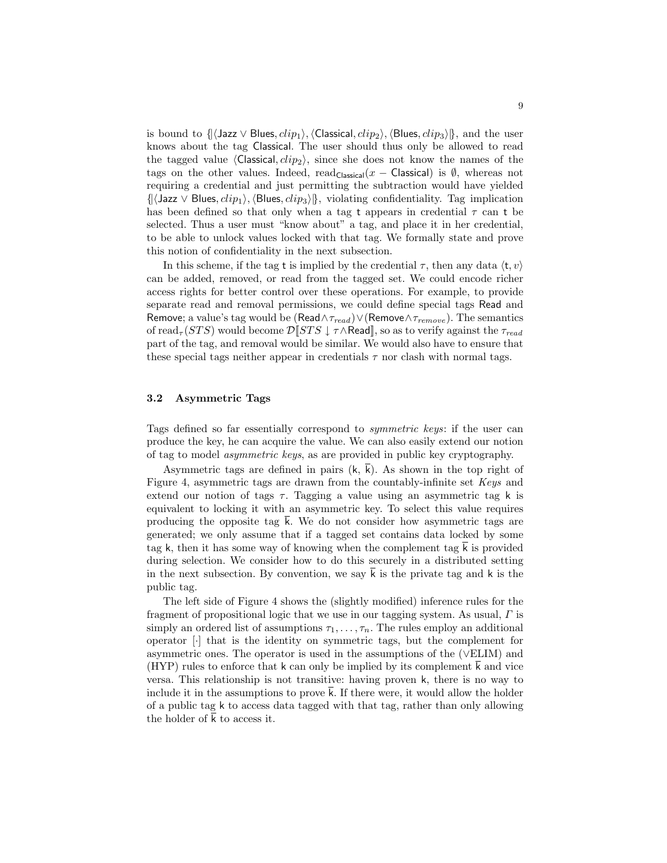is bound to  $\{\langle\text{Jazz} \vee \text{Blues}, clip_1\rangle,\langle\text{Classical}, clip_2\rangle,\langle\text{Blues}, clip_3\rangle\}\}\,$  and the user knows about the tag Classical. The user should thus only be allowed to read the tagged value  $\langle$ Classical,  $clip_2\rangle$ , since she does not know the names of the tags on the other values. Indeed, read<sub>Classical</sub>(x – Classical) is Ø, whereas not requiring a credential and just permitting the subtraction would have yielded  $\{|\langle \text{Jazz} \vee \text{Blues}, clip_1 \rangle, \langle \text{Blues}, clip_3 \rangle\},$  violating confidentiality. Tag implication has been defined so that only when a tag t appears in credential  $\tau$  can t be selected. Thus a user must "know about" a tag, and place it in her credential, to be able to unlock values locked with that tag. We formally state and prove this notion of confidentiality in the next subsection.

In this scheme, if the tag t is implied by the credential  $\tau$ , then any data  $\langle t, v \rangle$ can be added, removed, or read from the tagged set. We could encode richer access rights for better control over these operations. For example, to provide separate read and removal permissions, we could define special tags Read and Remove; a value's tag would be (Read∧ $\tau_{read}$ )∨(Remove∧ $\tau_{remove}$ ). The semantics of read<sub> $\tau$ </sub> (STS) would become  $\mathcal{D}$ [STS  $\downarrow \tau \wedge$ Read], so as to verify against the  $\tau_{read}$ part of the tag, and removal would be similar. We would also have to ensure that these special tags neither appear in credentials  $\tau$  nor clash with normal tags.

#### 3.2 Asymmetric Tags

Tags defined so far essentially correspond to symmetric keys: if the user can produce the key, he can acquire the value. We can also easily extend our notion of tag to model asymmetric keys, as are provided in public key cryptography.

Asymmetric tags are defined in pairs  $(k, \overline{k})$ . As shown in the top right of Figure 4, asymmetric tags are drawn from the countably-infinite set Keys and extend our notion of tags  $\tau$ . Tagging a value using an asymmetric tag k is equivalent to locking it with an asymmetric key. To select this value requires producing the opposite tag  $\overline{k}$ . We do not consider how asymmetric tags are generated; we only assume that if a tagged set contains data locked by some tag k, then it has some way of knowing when the complement tag k is provided during selection. We consider how to do this securely in a distributed setting in the next subsection. By convention, we say  $\overline{k}$  is the private tag and k is the public tag.

The left side of Figure 4 shows the (slightly modified) inference rules for the fragment of propositional logic that we use in our tagging system. As usual,  $\Gamma$  is simply an ordered list of assumptions  $\tau_1, \ldots, \tau_n$ . The rules employ an additional operator [·] that is the identity on symmetric tags, but the complement for asymmetric ones. The operator is used in the assumptions of the (∨ELIM) and (HYP) rules to enforce that k can only be implied by its complement k and vice versa. This relationship is not transitive: having proven k, there is no way to include it in the assumptions to prove k. If there were, it would allow the holder of a public tag k to access data tagged with that tag, rather than only allowing the holder of  $\bar{k}$  to access it.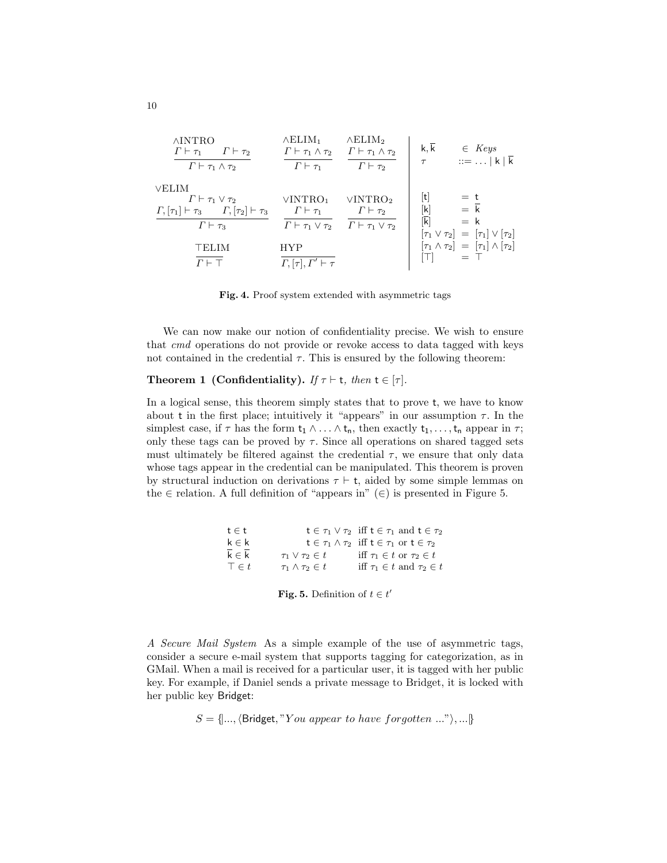| <b>AINTRO</b><br>$\Gamma \vdash \tau_1 \qquad \Gamma \vdash \tau_2$<br>$\Gamma \vdash \tau_1 \wedge \tau_2$                                | $\wedge$ ELIM <sub>1</sub><br>$\Gamma \vdash \tau_1 \wedge \tau_2 \quad \Gamma \vdash \tau_1 \wedge \tau_2$<br>$\Gamma \vdash \tau_1$ | $\wedge$ ELIM <sub>2</sub><br>$\Gamma \vdash \tau_2$                                                                       | $\mathsf k,\overline{\mathsf k}$<br>$\tau$                                                                                                                                                                                                                                                                                                                                                                                                                                                                                            | $\in$ Keys<br>$::=  k  \overline{k}$                                                    |
|--------------------------------------------------------------------------------------------------------------------------------------------|---------------------------------------------------------------------------------------------------------------------------------------|----------------------------------------------------------------------------------------------------------------------------|---------------------------------------------------------------------------------------------------------------------------------------------------------------------------------------------------------------------------------------------------------------------------------------------------------------------------------------------------------------------------------------------------------------------------------------------------------------------------------------------------------------------------------------|-----------------------------------------------------------------------------------------|
| VELIM<br>$\Gamma \vdash \tau_1 \vee \tau_2$<br>$\Gamma, [\tau_1] \vdash \tau_3$ $\Gamma, [\tau_2] \vdash \tau_3$<br>$\Gamma \vdash \tau_3$ | VINTRO <sub>1</sub><br>$\Gamma\vdash\tau_1$                                                                                           | VINTRO <sub>2</sub><br>$\Gamma \vdash \tau_2$<br>$\Gamma \vdash \tau_1 \vee \tau_2 \quad \Gamma \vdash \tau_1 \vee \tau_2$ | $[t] % \begin{center} % \includegraphics[width=\linewidth]{imagesSupplemental_3.png} % \end{center} % \caption { % \textit{DefNet} and { % \textit{DefNet}~\textit{DefNet}~\textit{DefNet}~\textit{DefNet}~\textit{DefNet}~\textit{DefNet}~\textit{DefNet}~\textit{DefNet}~\textit{DefNet}~\textit{DefNet}~\textit{DefNet}~\textit{DefNet}~\textit{DefNet}~\textit{DefNet}~\textit{DefNet}~\textit{DefNet}~\textit{DefNet}~\textit{DefNet}~\textit{DefNet}~\textit{DefNet}~\textit{DefNet}~\textit{DefNet$<br>[k]<br>$ \overline{k} $ | $=$ t<br>$=$ $\overline{k}$<br>$=$ k<br>$[\tau_1 \vee \tau_2] = [\tau_1] \vee [\tau_2]$ |
| TELIM<br>$\Gamma \vdash \top$                                                                                                              | <b>HYP</b><br>$\Gamma, \lbrack \tau \rbrack, \Gamma' \vdash \tau$                                                                     |                                                                                                                            |                                                                                                                                                                                                                                                                                                                                                                                                                                                                                                                                       | $[\tau_1 \wedge \tau_2] = [\tau_1] \wedge [\tau_2]$<br>$=$ T                            |

Fig. 4. Proof system extended with asymmetric tags

We can now make our notion of confidentiality precise. We wish to ensure that cmd operations do not provide or revoke access to data tagged with keys not contained in the credential  $\tau$ . This is ensured by the following theorem:

### **Theorem 1 (Confidentiality).** If  $\tau \vdash t$ , then  $t \in [\tau]$ .

In a logical sense, this theorem simply states that to prove t, we have to know about t in the first place; intuitively it "appears" in our assumption  $\tau$ . In the simplest case, if  $\tau$  has the form  $t_1 \wedge \ldots \wedge t_n$ , then exactly  $t_1, \ldots, t_n$  appear in  $\tau$ ; only these tags can be proved by  $\tau$ . Since all operations on shared tagged sets must ultimately be filtered against the credential  $\tau$ , we ensure that only data whose tags appear in the credential can be manipulated. This theorem is proven by structural induction on derivations  $\tau \vdash t$ , aided by some simple lemmas on the  $\in$  relation. A full definition of "appears in" ( $\in$ ) is presented in Figure 5.

| $t \in t$    |                              | $t \in \tau_1 \vee \tau_2$ iff $t \in \tau_1$ and $t \in \tau_2$  |
|--------------|------------------------------|-------------------------------------------------------------------|
| $k \in k$    |                              | $t \in \tau_1 \wedge \tau_2$ iff $t \in \tau_1$ or $t \in \tau_2$ |
| $k \in k$    | $\tau_1 \vee \tau_2 \in t$   | iff $\tau_1 \in t$ or $\tau_2 \in t$                              |
| $\top \in t$ | $\tau_1 \wedge \tau_2 \in t$ | iff $\tau_1 \in t$ and $\tau_2 \in t$                             |

**Fig. 5.** Definition of  $t \in t'$ 

A Secure Mail System As a simple example of the use of asymmetric tags, consider a secure e-mail system that supports tagging for categorization, as in GMail. When a mail is received for a particular user, it is tagged with her public key. For example, if Daniel sends a private message to Bridget, it is locked with her public key Bridget:

 $S = \{..., \text{Bridget}, "You appear to have forgotten ...", ... \}$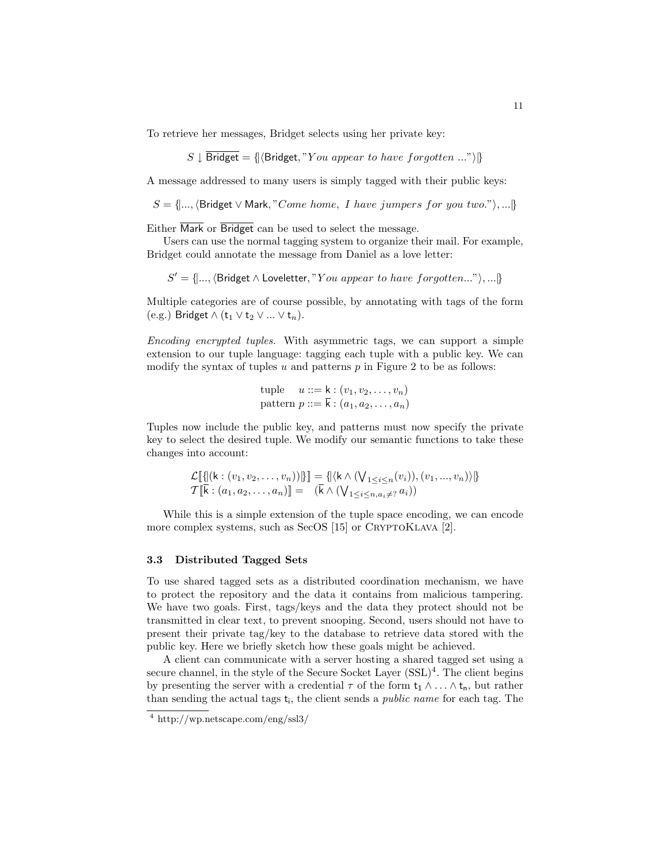To retrieve her messages, Bridget selects using her private key:

$$
S \downarrow
$$
 Bridget =  $\{ \langle$  Bridget, "You appear to have forgotten ..."\rangle\}

A message addressed to many users is simply tagged with their public keys:

 $S = \{..., \text{Bridget } \vee \text{Mark}, "Come home, I have jumps for you two."}\}, ...$ 

Either Mark or Bridget can be used to select the message.

Users can use the normal tagging system to organize their mail. For example, Bridget could annotate the message from Daniel as a love letter:

 $S' = \{..., \text{Bridget} \land \text{Loveletter}, "You appear to have forgotten..."), ... \}$ 

Multiple categories are of course possible, by annotating with tags of the form (e.g.) Bridget  $\wedge$  (t<sub>1</sub>  $\vee$  t<sub>2</sub>  $\vee$  ...  $\vee$  t<sub>n</sub>).

Encoding encrypted tuples. With asymmetric tags, we can support a simple extension to our tuple language: tagging each tuple with a public key. We can modify the syntax of tuples u and patterns  $p$  in Figure 2 to be as follows:

> tuple  $u ::= k : (v_1, v_2, \ldots, v_n)$ pattern  $p ::= \overline{k} : (a_1, a_2, \ldots, a_n)$

Tuples now include the public key, and patterns must now specify the private key to select the desired tuple. We modify our semantic functions to take these changes into account:

$$
\mathcal{L}[\![\{[(k:(v_1,v_2,\ldots,v_n))]\}\!] = \{[(k \wedge (\bigvee_{1 \leq i \leq n}(v_i)),(v_1,\ldots,v_n))\}\]
$$
  

$$
\mathcal{T}[\![\bar{k}:(a_1,a_2,\ldots,a_n)]\!] = (\bar{k} \wedge (\bigvee_{1 \leq i \leq n,a_i \neq 2} a_i))
$$

While this is a simple extension of the tuple space encoding, we can encode more complex systems, such as SecOS  $[15]$  or CRYPTOKLAVA  $[2]$ .

#### 3.3 Distributed Tagged Sets

To use shared tagged sets as a distributed coordination mechanism, we have to protect the repository and the data it contains from malicious tampering. We have two goals. First, tags/keys and the data they protect should not be transmitted in clear text, to prevent snooping. Second, users should not have to present their private tag/key to the database to retrieve data stored with the public key. Here we briefly sketch how these goals might be achieved.

A client can communicate with a server hosting a shared tagged set using a secure channel, in the style of the Secure Socket Layer (SSL)<sup>4</sup>. The client begins by presenting the server with a credential  $\tau$  of the form  $t_1 \wedge \ldots \wedge t_n$ , but rather than sending the actual tags  $t_i$ , the client sends a *public name* for each tag. The

<sup>4</sup> http://wp.netscape.com/eng/ssl3/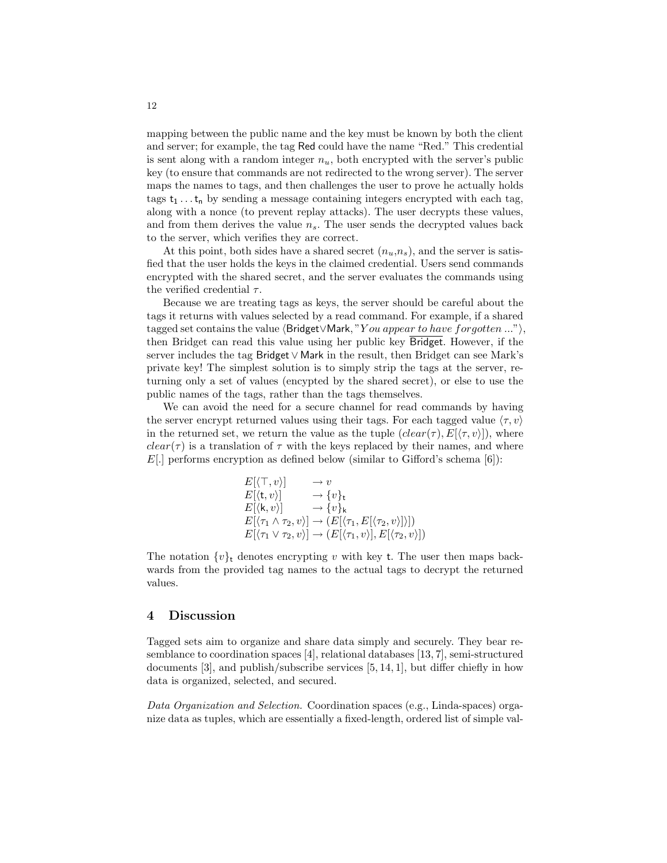mapping between the public name and the key must be known by both the client and server; for example, the tag Red could have the name "Red." This credential is sent along with a random integer  $n_u$ , both encrypted with the server's public key (to ensure that commands are not redirected to the wrong server). The server maps the names to tags, and then challenges the user to prove he actually holds tags  $t_1 \ldots t_n$  by sending a message containing integers encrypted with each tag, along with a nonce (to prevent replay attacks). The user decrypts these values, and from them derives the value  $n_s$ . The user sends the decrypted values back to the server, which verifies they are correct.

At this point, both sides have a shared secret  $(n_u, n_s)$ , and the server is satisfied that the user holds the keys in the claimed credential. Users send commands encrypted with the shared secret, and the server evaluates the commands using the verified credential  $\tau$ .

Because we are treating tags as keys, the server should be careful about the tags it returns with values selected by a read command. For example, if a shared tagged set contains the value  $\langle$ Bridget∨Mark, "Y ou appear to have forgotten ..." $\rangle$ , then Bridget can read this value using her public key Bridget. However, if the server includes the tag Bridget ∨ Mark in the result, then Bridget can see Mark's private key! The simplest solution is to simply strip the tags at the server, returning only a set of values (encypted by the shared secret), or else to use the public names of the tags, rather than the tags themselves.

We can avoid the need for a secure channel for read commands by having the server encrypt returned values using their tags. For each tagged value  $\langle \tau, v \rangle$ in the returned set, we return the value as the tuple  $(clear(\tau), E[\langle \tau, v \rangle])$ , where  $clear(\tau)$  is a translation of  $\tau$  with the keys replaced by their names, and where  $E$ . performs encryption as defined below (similar to Gifford's schema [6]):

$$
E[\langle \top, v \rangle] \rightarrow v
$$
  
\n
$$
E[\langle \tau, v \rangle] \rightarrow \{v\}_{t}
$$
  
\n
$$
E[\langle k, v \rangle] \rightarrow \{v\}_{k}
$$
  
\n
$$
E[\langle \tau_1 \land \tau_2, v \rangle] \rightarrow (E[\langle \tau_1, E[\langle \tau_2, v \rangle] \rangle])
$$
  
\n
$$
E[\langle \tau_1 \lor \tau_2, v \rangle] \rightarrow (E[\langle \tau_1, v \rangle], E[\langle \tau_2, v \rangle])
$$

The notation  $\{v\}$ <sub>t</sub> denotes encrypting v with key t. The user then maps backwards from the provided tag names to the actual tags to decrypt the returned values.

#### 4 Discussion

Tagged sets aim to organize and share data simply and securely. They bear resemblance to coordination spaces [4], relational databases [13, 7], semi-structured documents [3], and publish/subscribe services [5, 14, 1], but differ chiefly in how data is organized, selected, and secured.

Data Organization and Selection. Coordination spaces (e.g., Linda-spaces) organize data as tuples, which are essentially a fixed-length, ordered list of simple val-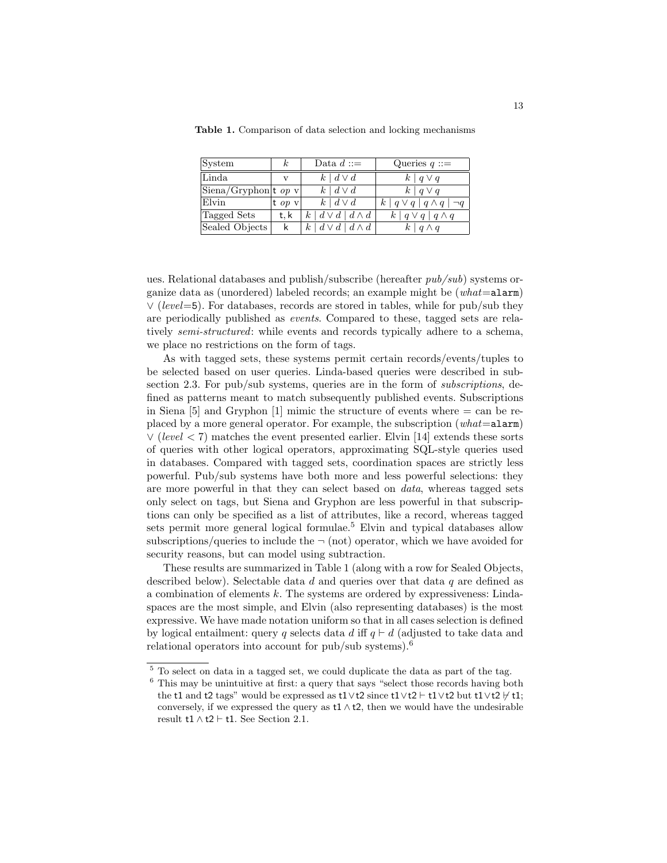| <b>System</b>                   | k.          | Data $d ::=$                      | Queries $q ::=$                      |
|---------------------------------|-------------|-----------------------------------|--------------------------------------|
| Linda                           | $\mathbf v$ | $k \mid d \vee d$                 | $k \mid q \vee q$                    |
| $ \text{Siena/Gryphon} $ t op v |             | $k \mid d \vee d$                 | $k   q \vee q$                       |
| Elvin                           | t op $v$    | $k \mid d \vee d$                 | $k   q \vee q   q \wedge q   \neg q$ |
| Tagged Sets                     | t. k        | $k \mid d \vee d \mid d \wedge d$ | $k   q \vee q   q \wedge q$          |
| Sealed Objects                  | k           | $k \mid d \vee d \mid d \wedge d$ | $k \mid q \wedge q$                  |

Table 1. Comparison of data selection and locking mechanisms

ues. Relational databases and publish/subscribe (hereafter pub/sub) systems organize data as (unordered) labeled records; an example might be  $(what = \texttt{alarm})$ ∨ (level=5). For databases, records are stored in tables, while for pub/sub they are periodically published as events. Compared to these, tagged sets are relatively semi-structured: while events and records typically adhere to a schema, we place no restrictions on the form of tags.

As with tagged sets, these systems permit certain records/events/tuples to be selected based on user queries. Linda-based queries were described in subsection 2.3. For pub/sub systems, queries are in the form of *subscriptions*, defined as patterns meant to match subsequently published events. Subscriptions in Siena  $[5]$  and Gryphon  $[1]$  mimic the structure of events where  $=$  can be replaced by a more general operator. For example, the subscription  $(what=$ alarm)  $\vee$  (level < 7) matches the event presented earlier. Elvin [14] extends these sorts of queries with other logical operators, approximating SQL-style queries used in databases. Compared with tagged sets, coordination spaces are strictly less powerful. Pub/sub systems have both more and less powerful selections: they are more powerful in that they can select based on data, whereas tagged sets only select on tags, but Siena and Gryphon are less powerful in that subscriptions can only be specified as a list of attributes, like a record, whereas tagged sets permit more general logical formulae.<sup>5</sup> Elvin and typical databases allow subscriptions/queries to include the  $\neg$  (not) operator, which we have avoided for security reasons, but can model using subtraction.

These results are summarized in Table 1 (along with a row for Sealed Objects, described below). Selectable data d and queries over that data q are defined as a combination of elements  $k$ . The systems are ordered by expressiveness: Lindaspaces are the most simple, and Elvin (also representing databases) is the most expressive. We have made notation uniform so that in all cases selection is defined by logical entailment: query q selects data d iff  $q \vdash d$  (adjusted to take data and relational operators into account for pub/sub systems).<sup>6</sup>

<sup>5</sup> To select on data in a tagged set, we could duplicate the data as part of the tag.

 $6$  This may be unintuitive at first: a query that says "select those records having both the t1 and t2 tags" would be expressed as t1∨t2 since t1∨t2  $\vdash$  t1∨t2 but t1∨t2  $\nvdash$  t1; conversely, if we expressed the query as  $t1 \wedge t2$ , then we would have the undesirable result t1  $\land$  t2  $\vdash$  t1. See Section 2.1.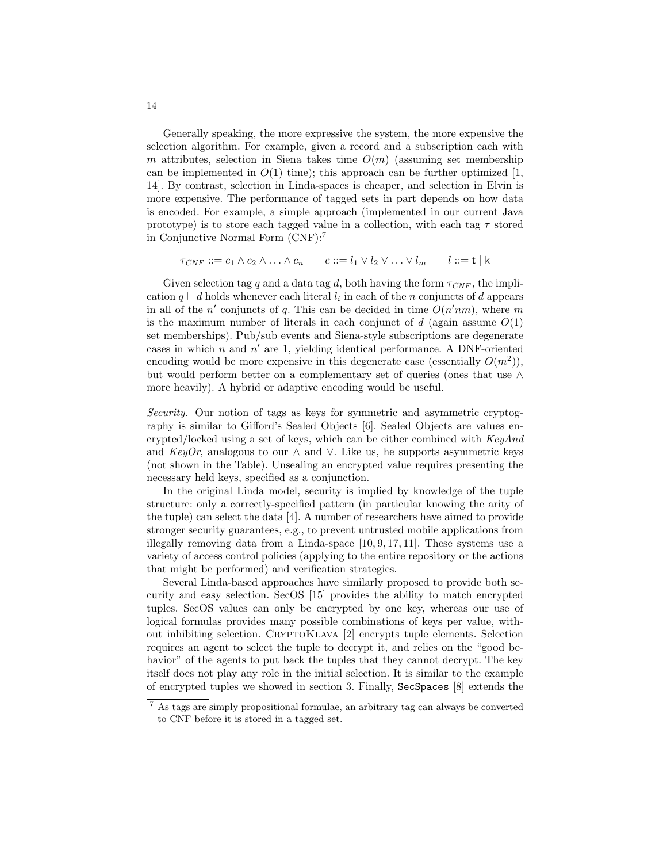Generally speaking, the more expressive the system, the more expensive the selection algorithm. For example, given a record and a subscription each with m attributes, selection in Siena takes time  $O(m)$  (assuming set membership can be implemented in  $O(1)$  time); this approach can be further optimized [1, 14]. By contrast, selection in Linda-spaces is cheaper, and selection in Elvin is more expensive. The performance of tagged sets in part depends on how data is encoded. For example, a simple approach (implemented in our current Java prototype) is to store each tagged value in a collection, with each tag  $\tau$  stored in Conjunctive Normal Form (CNF):<sup>7</sup>

$$
\tau_{CNF} ::= c_1 \wedge c_2 \wedge \ldots \wedge c_n \qquad c ::= l_1 \vee l_2 \vee \ldots \vee l_m \qquad l ::= t \mid k
$$

Given selection tag q and a data tag d, both having the form  $\tau_{CNF}$ , the implication  $q \vdash d$  holds whenever each literal  $l_i$  in each of the n conjuncts of d appears in all of the n' conjuncts of q. This can be decided in time  $O(n'nm)$ , where m is the maximum number of literals in each conjunct of  $d$  (again assume  $O(1)$ ) set memberships). Pub/sub events and Siena-style subscriptions are degenerate cases in which  $n$  and  $n'$  are 1, yielding identical performance. A DNF-oriented encoding would be more expensive in this degenerate case (essentially  $O(m^2)$ ), but would perform better on a complementary set of queries (ones that use ∧ more heavily). A hybrid or adaptive encoding would be useful.

Security. Our notion of tags as keys for symmetric and asymmetric cryptography is similar to Gifford's Sealed Objects [6]. Sealed Objects are values encrypted/locked using a set of keys, which can be either combined with  $KeyAnd$ and KeyOr, analogous to our  $\wedge$  and  $\vee$ . Like us, he supports asymmetric keys (not shown in the Table). Unsealing an encrypted value requires presenting the necessary held keys, specified as a conjunction.

In the original Linda model, security is implied by knowledge of the tuple structure: only a correctly-specified pattern (in particular knowing the arity of the tuple) can select the data [4]. A number of researchers have aimed to provide stronger security guarantees, e.g., to prevent untrusted mobile applications from illegally removing data from a Linda-space [10, 9, 17, 11]. These systems use a variety of access control policies (applying to the entire repository or the actions that might be performed) and verification strategies.

Several Linda-based approaches have similarly proposed to provide both security and easy selection. SecOS [15] provides the ability to match encrypted tuples. SecOS values can only be encrypted by one key, whereas our use of logical formulas provides many possible combinations of keys per value, without inhibiting selection. CRYPTOKLAVA [2] encrypts tuple elements. Selection requires an agent to select the tuple to decrypt it, and relies on the "good behavior" of the agents to put back the tuples that they cannot decrypt. The key itself does not play any role in the initial selection. It is similar to the example of encrypted tuples we showed in section 3. Finally, SecSpaces [8] extends the

<sup>7</sup> As tags are simply propositional formulae, an arbitrary tag can always be converted to CNF before it is stored in a tagged set.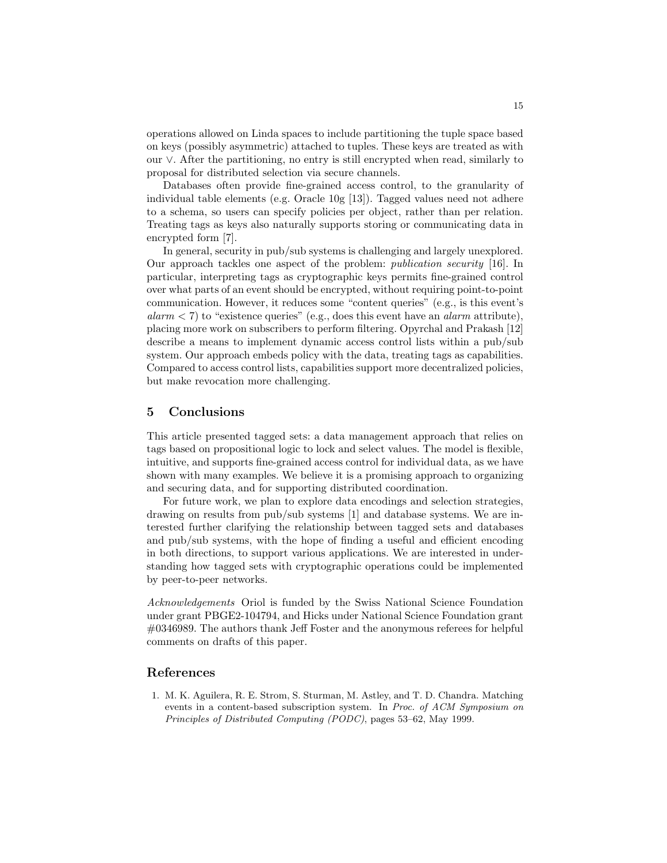operations allowed on Linda spaces to include partitioning the tuple space based on keys (possibly asymmetric) attached to tuples. These keys are treated as with our ∨. After the partitioning, no entry is still encrypted when read, similarly to proposal for distributed selection via secure channels.

Databases often provide fine-grained access control, to the granularity of individual table elements (e.g. Oracle 10g [13]). Tagged values need not adhere to a schema, so users can specify policies per object, rather than per relation. Treating tags as keys also naturally supports storing or communicating data in encrypted form [7].

In general, security in pub/sub systems is challenging and largely unexplored. Our approach tackles one aspect of the problem: publication security [16]. In particular, interpreting tags as cryptographic keys permits fine-grained control over what parts of an event should be encrypted, without requiring point-to-point communication. However, it reduces some "content queries" (e.g., is this event's  $alarm < 7$ ) to "existence queries" (e.g., does this event have an *alarm* attribute), placing more work on subscribers to perform filtering. Opyrchal and Prakash [12] describe a means to implement dynamic access control lists within a pub/sub system. Our approach embeds policy with the data, treating tags as capabilities. Compared to access control lists, capabilities support more decentralized policies, but make revocation more challenging.

## 5 Conclusions

This article presented tagged sets: a data management approach that relies on tags based on propositional logic to lock and select values. The model is flexible, intuitive, and supports fine-grained access control for individual data, as we have shown with many examples. We believe it is a promising approach to organizing and securing data, and for supporting distributed coordination.

For future work, we plan to explore data encodings and selection strategies, drawing on results from pub/sub systems [1] and database systems. We are interested further clarifying the relationship between tagged sets and databases and pub/sub systems, with the hope of finding a useful and efficient encoding in both directions, to support various applications. We are interested in understanding how tagged sets with cryptographic operations could be implemented by peer-to-peer networks.

Acknowledgements Oriol is funded by the Swiss National Science Foundation under grant PBGE2-104794, and Hicks under National Science Foundation grant #0346989. The authors thank Jeff Foster and the anonymous referees for helpful comments on drafts of this paper.

## References

1. M. K. Aguilera, R. E. Strom, S. Sturman, M. Astley, and T. D. Chandra. Matching events in a content-based subscription system. In Proc. of ACM Symposium on Principles of Distributed Computing (PODC), pages 53–62, May 1999.